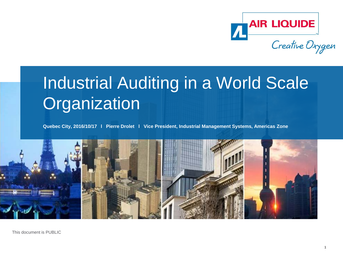

# Industrial Auditing in a World Scale **Organization**

**Quebec City, 2016/10/17 l Pierre Drolet l Vice President, Industrial Management Systems, Americas Zone**

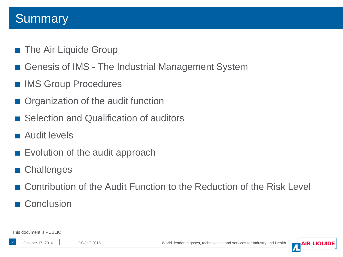#### **Summary**

- The Air Liquide Group
- Genesis of IMS The Industrial Management System
- **IMS Group Procedures**
- Organization of the audit function
- Selection and Qualification of auditors
- Audit levels
- Evolution of the audit approach
- Challenges
- Contribution of the Audit Function to the Reduction of the Risk Level
- **Conclusion**

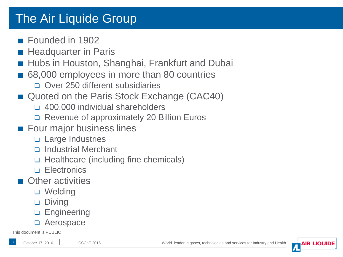### The Air Liquide Group

- Founded in 1902
- Headquarter in Paris
- Hubs in Houston, Shanghai, Frankfurt and Dubai
- 68,000 employees in more than 80 countries
	- ❏ Over 250 different subsidiaries
- Quoted on the Paris Stock Exchange (CAC40)
	- ❏ 400,000 individual shareholders
	- ❏ Revenue of approximately 20 Billion Euros
- Four major business lines
	- ❏ Large Industries
	- ❏ Industrial Merchant
	- ❏ Healthcare (including fine chemicals)
	- ❏ Electronics
- **Other activities** 
	- ❏ Welding
	- ❏ Diving
	- ❏ Engineering
	- ❏ Aerospace

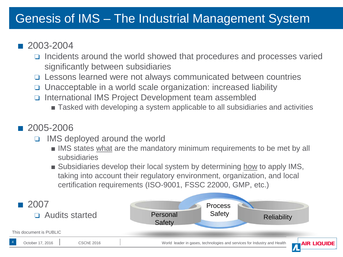### Genesis of IMS – The Industrial Management System

#### ■ 2003-2004

- ❏ Incidents around the world showed that procedures and processes varied significantly between subsidiaries
- ❏ Lessons learned were not always communicated between countries
- ❏ Unacceptable in a world scale organization: increased liability
- ❏ International IMS Project Development team assembled
	- Tasked with developing a system applicable to all subsidiaries and activities

#### ■ 2005-2006

- ❏ IMS deployed around the world
	- IMS states what are the mandatory minimum requirements to be met by all subsidiaries
	- Subsidiaries develop their local system by determining how to apply IMS, taking into account their regulatory environment, organization, and local certification requirements (ISO-9001, FSSC 22000, GMP, etc.)

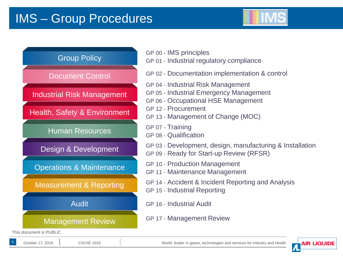### IMS – Group Procedures





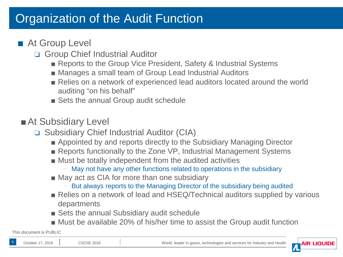### Organization of the Audit Function

#### ■ At Group Level

- ❏ Group Chief Industrial Auditor
	- Reports to the Group Vice President, Safety & Industrial Systems
	- Manages a small team of Group Lead Industrial Auditors
	- Relies on a network of experienced lead auditors located around the world auditing "on his behalf"
	- Sets the annual Group audit schedule

#### ■ At Subsidiary Level

- ❏ Subsidiary Chief Industrial Auditor (CIA)
	- Appointed by and reports directly to the Subsidiary Managing Director
	- Reports functionally to the Zone VP, Industrial Management Systems
	- Must be totally independent from the audited activities
		- May not have any other functions related to operations in the subsidiary
	- May act as CIA for more than one subsidiary
		- But always reports to the Managing Director of the subsidiary being audited
	- Relies on a network of lead and HSEQ/Technical auditors supplied by various departments
	- Sets the annual Subsidiary audit schedule
	- Must be available 20% of his/her time to assist the Group audit function

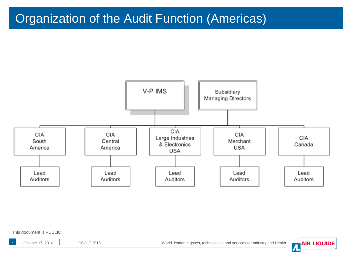### Organization of the Audit Function (Americas)



This document is PUBLIC

October 17, 2016 CSChE 2016 | CSChE 2016 | World leader in gases, technologies and services for Industry and Health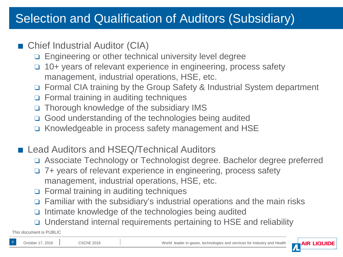### Selection and Qualification of Auditors (Subsidiary)

#### ■ Chief Industrial Auditor (CIA)

- ❏ Engineering or other technical university level degree
- ❏ 10+ years of relevant experience in engineering, process safety management, industrial operations, HSE, etc.
- ❏ Formal CIA training by the Group Safety & Industrial System department
- ❏ Formal training in auditing techniques
- ❏ Thorough knowledge of the subsidiary IMS
- ❏ Good understanding of the technologies being audited
- ❏ Knowledgeable in process safety management and HSE
- Lead Auditors and HSEQ/Technical Auditors
	- ❏ Associate Technology or Technologist degree. Bachelor degree preferred
	- ❏ 7+ years of relevant experience in engineering, process safety management, industrial operations, HSE, etc.
	- ❏ Formal training in auditing techniques
	- ❏ Familiar with the subsidiary's industrial operations and the main risks
	- ❏ Intimate knowledge of the technologies being audited
	- ❏ Understand internal requirements pertaining to HSE and reliability

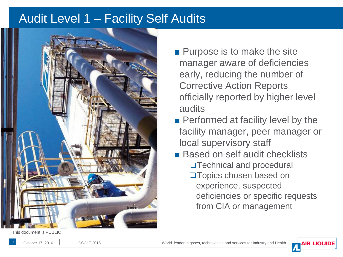#### Audit Level 1 - Facility Self Audits



- Purpose is to make the site manager aware of deficiencies early, reducing the number of Corrective Action Reports officially reported by higher level audits
- Performed at facility level by the facility manager, peer manager or local supervisory staff
- Based on self audit checklists ❏Technical and procedural ❏Topics chosen based on experience, suspected deficiencies or specific requests from CIA or management



9

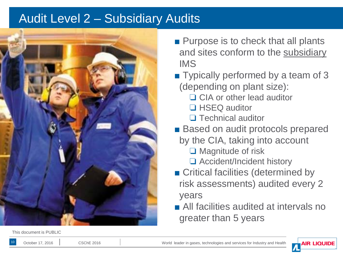#### Audit Level 2 – Subsidiary Audits



- Purpose is to check that all plants and sites conform to the subsidiary IMS
- Typically performed by a team of 3 (depending on plant size):
	- ❏ CIA or other lead auditor
	- ❏ HSEQ auditor
	- ❏ Technical auditor
- Based on audit protocols prepared
	- by the CIA, taking into account
		- ❏ Magnitude of risk
		- ❏ Accident/Incident history
- Critical facilities (determined by risk assessments) audited every 2 years
- All facilities audited at intervals no greater than 5 years



10

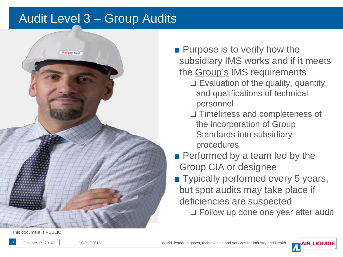#### Audit Level 3 – Group Audits



This document is PUBLIC

11

■ Purpose is to verify how the subsidiary IMS works and if it meets the Group's IMS requirements

- ❏ Evaluation of the quality, quantity and qualifications of technical personnel
- ❏ Timeliness and completeness of the incorporation of Group Standards into subsidiary procedures
- Performed by a team led by the Group CIA or designee
- Typically performed every 5 years, but spot audits may take place if deficiencies are suspected
	- ❏ Follow up done one year after audit

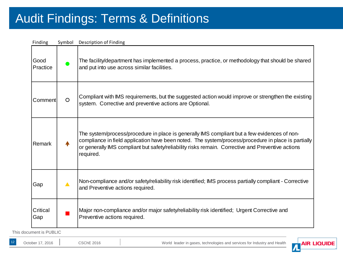### Audit Findings: Terms & Definitions

| Finding          | Symbol  | Description of Finding                                                                                                                                                                                                                                                                                                |
|------------------|---------|-----------------------------------------------------------------------------------------------------------------------------------------------------------------------------------------------------------------------------------------------------------------------------------------------------------------------|
| Good<br>Practice |         | The facility/department has implemented a process, practice, or methodology that should be shared<br>and put into use across similar facilities.                                                                                                                                                                      |
| Comment          | $\circ$ | Compliant with IMS requirements, but the suggested action would improve or strengthen the existing<br>system. Corrective and preventive actions are Optional.                                                                                                                                                         |
| Remark           |         | The system/process/procedure in place is generally IMS compliant but a few evidences of non-<br>compliance in field application have been noted. The system/process/procedure in place is partially<br>or generally IMS compliant but safety/reliability risks remain. Corrective and Preventive actions<br>required. |
| Gap              |         | Non-compliance and/or safety/reliability risk identified; IMS process partially compliant - Corrective<br>and Preventive actions required.                                                                                                                                                                            |
| Critical<br>Gap  |         | Major non-compliance and/or major safety/reliability risk identified; Urgent Corrective and<br>Preventive actions required.                                                                                                                                                                                           |

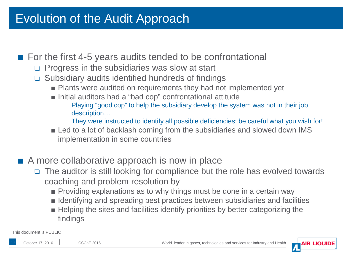#### Evolution of the Audit Approach

#### ■ For the first 4-5 years audits tended to be confrontational

- ❏ Progress in the subsidiaries was slow at start
- ❏ Subsidiary audits identified hundreds of findings
	- Plants were audited on requirements they had not implemented yet
	- Initial auditors had a "bad cop" confrontational attitude
		- Playing "good cop" to help the subsidiary develop the system was not in their job description…
		- ╴ They were instructed to identify all possible deficiencies: be careful what you wish for!
	- Led to a lot of backlash coming from the subsidiaries and slowed down IMS implementation in some countries
- A more collaborative approach is now in place
	- ❏ The auditor is still looking for compliance but the role has evolved towards coaching and problem resolution by
		- Providing explanations as to why things must be done in a certain way
		- Identifying and spreading best practices between subsidiaries and facilities
		- Helping the sites and facilities identify priorities by better categorizing the findings

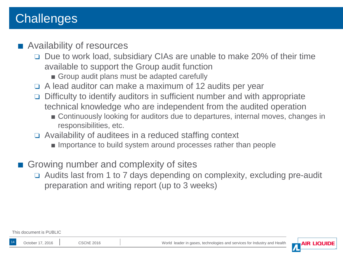### **Challenges**

#### ■ Availability of resources

- ❏ Due to work load, subsidiary CIAs are unable to make 20% of their time available to support the Group audit function
	- Group audit plans must be adapted carefully
- ❏ A lead auditor can make a maximum of 12 audits per year
- ❏ Difficulty to identify auditors in sufficient number and with appropriate technical knowledge who are independent from the audited operation
	- Continuously looking for auditors due to departures, internal moves, changes in responsibilities, etc.
- ❏ Availability of auditees in a reduced staffing context
	- Importance to build system around processes rather than people
- Growing number and complexity of sites
	- ❏ Audits last from 1 to 7 days depending on complexity, excluding pre-audit preparation and writing report (up to 3 weeks)



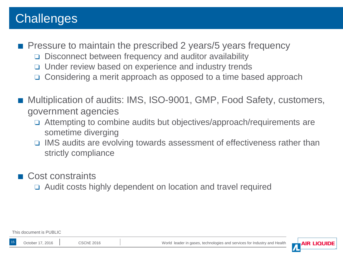### **Challenges**

- Pressure to maintain the prescribed 2 years/5 years frequency
	- ❏ Disconnect between frequency and auditor availability
	- ❏ Under review based on experience and industry trends
	- ❏ Considering a merit approach as opposed to a time based approach
- Multiplication of audits: IMS, ISO-9001, GMP, Food Safety, customers, government agencies
	- ❏ Attempting to combine audits but objectives/approach/requirements are sometime diverging
	- ❏ IMS audits are evolving towards assessment of effectiveness rather than strictly compliance
- Cost constraints
	- ❏ Audit costs highly dependent on location and travel required

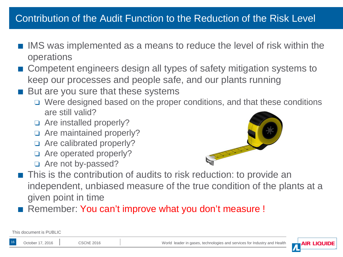#### Contribution of the Audit Function to the Reduction of the Risk Level

- IMS was implemented as a means to reduce the level of risk within the operations
- Competent engineers design all types of safety mitigation systems to keep our processes and people safe, and our plants running
- But are you sure that these systems
	- ❏ Were designed based on the proper conditions, and that these conditions are still valid?
	- ❏ Are installed properly?
	- ❏ Are maintained properly?
	- ❏ Are calibrated properly?
	- ❏ Are operated properly?
	- ❏ Are not by-passed?



- This is the contribution of audits to risk reduction: to provide an independent, unbiased measure of the true condition of the plants at a given point in time
- Remember: You can't improve what you don't measure !

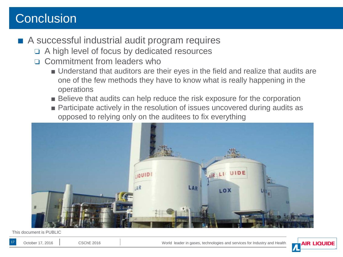### **Conclusion**

#### ■ A successful industrial audit program requires

- ❏ A high level of focus by dedicated resources
- ❏ Commitment from leaders who
	- Understand that auditors are their eyes in the field and realize that audits are one of the few methods they have to know what is really happening in the operations
	- Believe that audits can help reduce the risk exposure for the corporation
	- Participate actively in the resolution of issues uncovered during audits as opposed to relying only on the auditees to fix everything